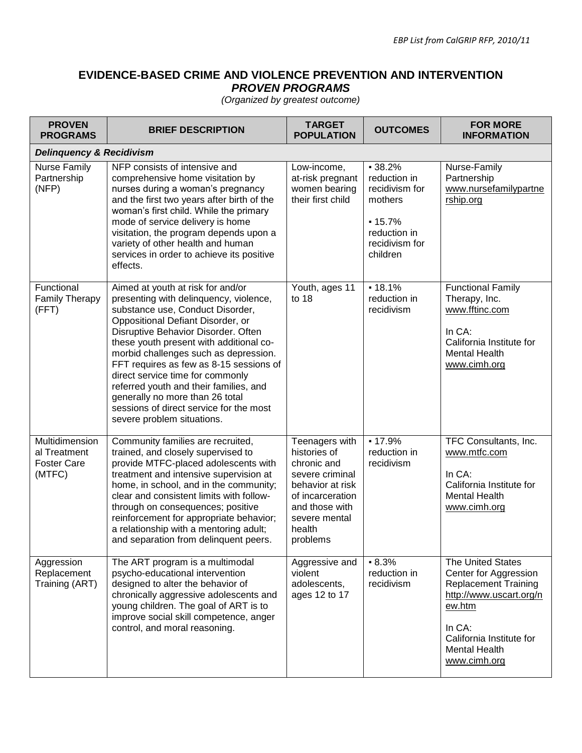## **EVIDENCE-BASED CRIME AND VIOLENCE PREVENTION AND INTERVENTION** *PROVEN PROGRAMS*

*(Organized by greatest outcome)*

| <b>PROVEN</b><br><b>PROGRAMS</b>                               | <b>BRIEF DESCRIPTION</b>                                                                                                                                                                                                                                                                                                                                                                                                                                                                                             | <b>TARGET</b><br><b>POPULATION</b>                                                                                                                                | <b>OUTCOMES</b>                                                                                                 | <b>FOR MORE</b><br><b>INFORMATION</b>                                                                                                                                                        |
|----------------------------------------------------------------|----------------------------------------------------------------------------------------------------------------------------------------------------------------------------------------------------------------------------------------------------------------------------------------------------------------------------------------------------------------------------------------------------------------------------------------------------------------------------------------------------------------------|-------------------------------------------------------------------------------------------------------------------------------------------------------------------|-----------------------------------------------------------------------------------------------------------------|----------------------------------------------------------------------------------------------------------------------------------------------------------------------------------------------|
| <b>Delinquency &amp; Recidivism</b>                            |                                                                                                                                                                                                                                                                                                                                                                                                                                                                                                                      |                                                                                                                                                                   |                                                                                                                 |                                                                                                                                                                                              |
| <b>Nurse Family</b><br>Partnership<br>(NFP)                    | NFP consists of intensive and<br>comprehensive home visitation by<br>nurses during a woman's pregnancy<br>and the first two years after birth of the<br>woman's first child. While the primary<br>mode of service delivery is home<br>visitation, the program depends upon a<br>variety of other health and human<br>services in order to achieve its positive<br>effects.                                                                                                                                           | Low-income,<br>at-risk pregnant<br>women bearing<br>their first child                                                                                             | $-38.2%$<br>reduction in<br>recidivism for<br>mothers<br>$-15.7%$<br>reduction in<br>recidivism for<br>children | Nurse-Family<br>Partnership<br>www.nursefamilypartne<br>rship.org                                                                                                                            |
| Functional<br><b>Family Therapy</b><br>(FFT)                   | Aimed at youth at risk for and/or<br>presenting with delinquency, violence,<br>substance use, Conduct Disorder,<br>Oppositional Defiant Disorder, or<br>Disruptive Behavior Disorder. Often<br>these youth present with additional co-<br>morbid challenges such as depression.<br>FFT requires as few as 8-15 sessions of<br>direct service time for commonly<br>referred youth and their families, and<br>generally no more than 26 total<br>sessions of direct service for the most<br>severe problem situations. | Youth, ages 11<br>to 18                                                                                                                                           | $-18.1%$<br>reduction in<br>recidivism                                                                          | <b>Functional Family</b><br>Therapy, Inc.<br>www.fftinc.com<br>In CA:<br>California Institute for<br><b>Mental Health</b><br>www.cimh.org                                                    |
| Multidimension<br>al Treatment<br><b>Foster Care</b><br>(MTFC) | Community families are recruited,<br>trained, and closely supervised to<br>provide MTFC-placed adolescents with<br>treatment and intensive supervision at<br>home, in school, and in the community;<br>clear and consistent limits with follow-<br>through on consequences; positive<br>reinforcement for appropriate behavior;<br>a relationship with a mentoring adult;<br>and separation from delinquent peers.                                                                                                   | Teenagers with<br>histories of<br>chronic and<br>severe criminal<br>behavior at risk<br>of incarceration<br>and those with<br>severe mental<br>health<br>problems | $-17.9%$<br>reduction in<br>recidivism                                                                          | TFC Consultants, Inc.<br>www.mtfc.com<br>In CA:<br>California Institute for<br><b>Mental Health</b><br>www.cimh.org                                                                          |
| Aggression<br>Replacement<br>Training (ART)                    | The ART program is a multimodal<br>psycho-educational intervention<br>designed to alter the behavior of<br>chronically aggressive adolescents and<br>young children. The goal of ART is to<br>improve social skill competence, anger<br>control, and moral reasoning.                                                                                                                                                                                                                                                | Aggressive and<br>violent<br>adolescents,<br>ages 12 to 17                                                                                                        | $-8.3%$<br>reduction in<br>recidivism                                                                           | The United States<br>Center for Aggression<br><b>Replacement Training</b><br>http://www.uscart.org/n<br>ew.htm<br>In CA:<br>California Institute for<br><b>Mental Health</b><br>www.cimh.org |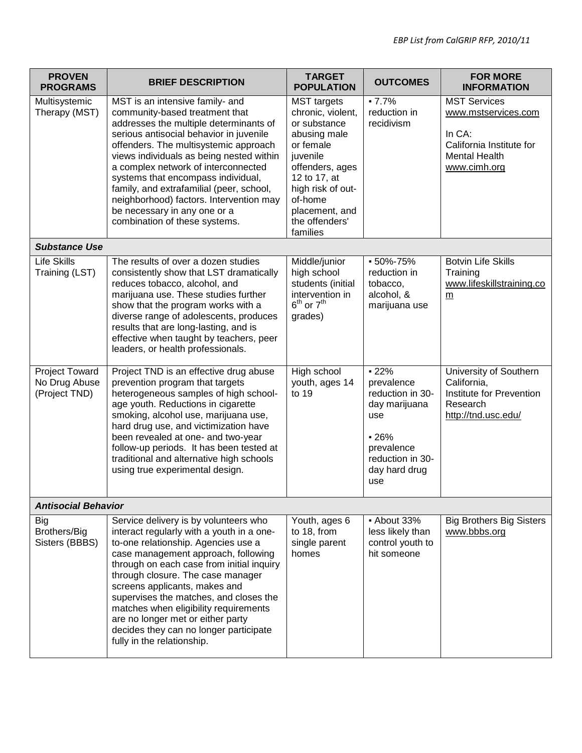| <b>PROVEN</b><br><b>PROGRAMS</b>                 | <b>BRIEF DESCRIPTION</b>                                                                                                                                                                                                                                                                                                                                                                                                                                                            | <b>TARGET</b><br><b>POPULATION</b>                                                                                                                                                                                  | <b>OUTCOMES</b>                                                                                                                      | <b>FOR MORE</b><br><b>INFORMATION</b>                                                                                    |
|--------------------------------------------------|-------------------------------------------------------------------------------------------------------------------------------------------------------------------------------------------------------------------------------------------------------------------------------------------------------------------------------------------------------------------------------------------------------------------------------------------------------------------------------------|---------------------------------------------------------------------------------------------------------------------------------------------------------------------------------------------------------------------|--------------------------------------------------------------------------------------------------------------------------------------|--------------------------------------------------------------------------------------------------------------------------|
| Multisystemic<br>Therapy (MST)                   | MST is an intensive family- and<br>community-based treatment that<br>addresses the multiple determinants of<br>serious antisocial behavior in juvenile<br>offenders. The multisystemic approach<br>views individuals as being nested within<br>a complex network of interconnected<br>systems that encompass individual,<br>family, and extrafamilial (peer, school,<br>neighborhood) factors. Intervention may<br>be necessary in any one or a<br>combination of these systems.    | <b>MST</b> targets<br>chronic, violent,<br>or substance<br>abusing male<br>or female<br>juvenile<br>offenders, ages<br>12 to 17, at<br>high risk of out-<br>of-home<br>placement, and<br>the offenders'<br>families | $-7.7%$<br>reduction in<br>recidivism                                                                                                | <b>MST Services</b><br>www.mstservices.com<br>In CA:<br>California Institute for<br><b>Mental Health</b><br>www.cimh.org |
| <b>Substance Use</b>                             |                                                                                                                                                                                                                                                                                                                                                                                                                                                                                     |                                                                                                                                                                                                                     |                                                                                                                                      |                                                                                                                          |
| Life Skills<br>Training (LST)                    | The results of over a dozen studies<br>consistently show that LST dramatically<br>reduces tobacco, alcohol, and<br>marijuana use. These studies further<br>show that the program works with a<br>diverse range of adolescents, produces<br>results that are long-lasting, and is<br>effective when taught by teachers, peer<br>leaders, or health professionals.                                                                                                                    | Middle/junior<br>high school<br>students (initial<br>intervention in<br>$6^{th}$ or $7^{th}$<br>grades)                                                                                                             | $-50\% - 75\%$<br>reduction in<br>tobacco,<br>alcohol, &<br>marijuana use                                                            | <b>Botvin Life Skills</b><br>Training<br>www.lifeskillstraining.co<br>$\underline{m}$                                    |
| Project Toward<br>No Drug Abuse<br>(Project TND) | Project TND is an effective drug abuse<br>prevention program that targets<br>heterogeneous samples of high school-<br>age youth. Reductions in cigarette<br>smoking, alcohol use, marijuana use,<br>hard drug use, and victimization have<br>been revealed at one- and two-year<br>follow-up periods. It has been tested at<br>traditional and alternative high schools<br>using true experimental design.                                                                          | High school<br>youth, ages 14<br>to 19                                                                                                                                                                              | $-22%$<br>prevalence<br>reduction in 30-<br>day marijuana<br>use<br>$-26%$<br>prevalence<br>reduction in 30-<br>day hard drug<br>use | University of Southern<br>California,<br>Institute for Prevention<br>Research<br>http://tnd.usc.edu/                     |
| <b>Antisocial Behavior</b>                       |                                                                                                                                                                                                                                                                                                                                                                                                                                                                                     |                                                                                                                                                                                                                     |                                                                                                                                      |                                                                                                                          |
| Big<br>Brothers/Big<br>Sisters (BBBS)            | Service delivery is by volunteers who<br>interact regularly with a youth in a one-<br>to-one relationship. Agencies use a<br>case management approach, following<br>through on each case from initial inquiry<br>through closure. The case manager<br>screens applicants, makes and<br>supervises the matches, and closes the<br>matches when eligibility requirements<br>are no longer met or either party<br>decides they can no longer participate<br>fully in the relationship. | Youth, ages 6<br>to 18, from<br>single parent<br>homes                                                                                                                                                              | - About 33%<br>less likely than<br>control youth to<br>hit someone                                                                   | <b>Big Brothers Big Sisters</b><br>www.bbbs.org                                                                          |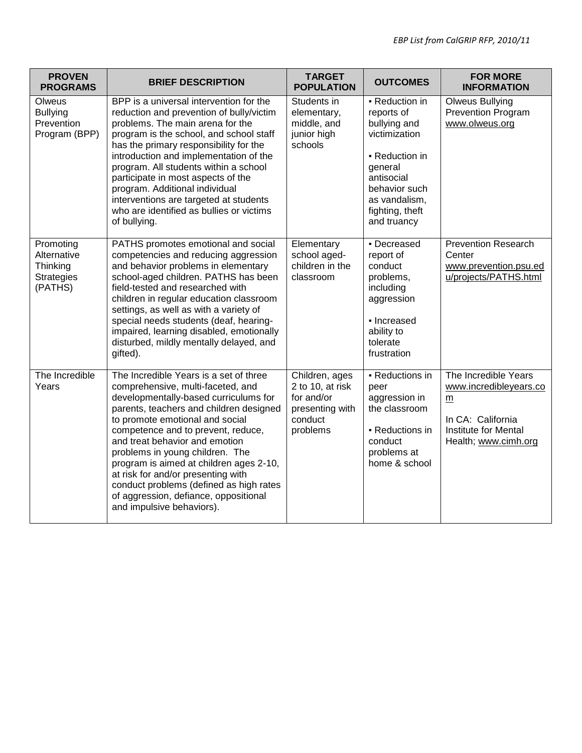| <b>PROVEN</b><br><b>PROGRAMS</b>                                     | <b>BRIEF DESCRIPTION</b>                                                                                                                                                                                                                                                                                                                                                                                                                                                                                        | <b>TARGET</b><br><b>POPULATION</b>                                                         | <b>OUTCOMES</b>                                                                                                                                                              | <b>FOR MORE</b><br><b>INFORMATION</b>                                                                                                  |
|----------------------------------------------------------------------|-----------------------------------------------------------------------------------------------------------------------------------------------------------------------------------------------------------------------------------------------------------------------------------------------------------------------------------------------------------------------------------------------------------------------------------------------------------------------------------------------------------------|--------------------------------------------------------------------------------------------|------------------------------------------------------------------------------------------------------------------------------------------------------------------------------|----------------------------------------------------------------------------------------------------------------------------------------|
| Olweus<br><b>Bullying</b><br>Prevention<br>Program (BPP)             | BPP is a universal intervention for the<br>reduction and prevention of bully/victim<br>problems. The main arena for the<br>program is the school, and school staff<br>has the primary responsibility for the<br>introduction and implementation of the<br>program. All students within a school<br>participate in most aspects of the<br>program. Additional individual<br>interventions are targeted at students<br>who are identified as bullies or victims<br>of bullying.                                   | Students in<br>elementary,<br>middle, and<br>junior high<br>schools                        | - Reduction in<br>reports of<br>bullying and<br>victimization<br>- Reduction in<br>general<br>antisocial<br>behavior such<br>as vandalism,<br>fighting, theft<br>and truancy | <b>Olweus Bullying</b><br><b>Prevention Program</b><br>www.olweus.org                                                                  |
| Promoting<br>Alternative<br>Thinking<br><b>Strategies</b><br>(PATHS) | PATHS promotes emotional and social<br>competencies and reducing aggression<br>and behavior problems in elementary<br>school-aged children. PATHS has been<br>field-tested and researched with<br>children in regular education classroom<br>settings, as well as with a variety of<br>special needs students (deaf, hearing-<br>impaired, learning disabled, emotionally<br>disturbed, mildly mentally delayed, and<br>gifted).                                                                                | Elementary<br>school aged-<br>children in the<br>classroom                                 | - Decreased<br>report of<br>conduct<br>problems,<br>including<br>aggression<br>• Increased<br>ability to<br>tolerate<br>frustration                                          | <b>Prevention Research</b><br>Center<br>www.prevention.psu.ed<br>u/projects/PATHS.html                                                 |
| The Incredible<br>Years                                              | The Incredible Years is a set of three<br>comprehensive, multi-faceted, and<br>developmentally-based curriculums for<br>parents, teachers and children designed<br>to promote emotional and social<br>competence and to prevent, reduce,<br>and treat behavior and emotion<br>problems in young children. The<br>program is aimed at children ages 2-10,<br>at risk for and/or presenting with<br>conduct problems (defined as high rates<br>of aggression, defiance, oppositional<br>and impulsive behaviors). | Children, ages<br>2 to 10, at risk<br>for and/or<br>presenting with<br>conduct<br>problems | - Reductions in<br>peer<br>aggression in<br>the classroom<br>- Reductions in<br>conduct<br>problems at<br>home & school                                                      | The Incredible Years<br>www.incredibleyears.co<br>$\underline{m}$<br>In CA: California<br>Institute for Mental<br>Health; www.cimh.org |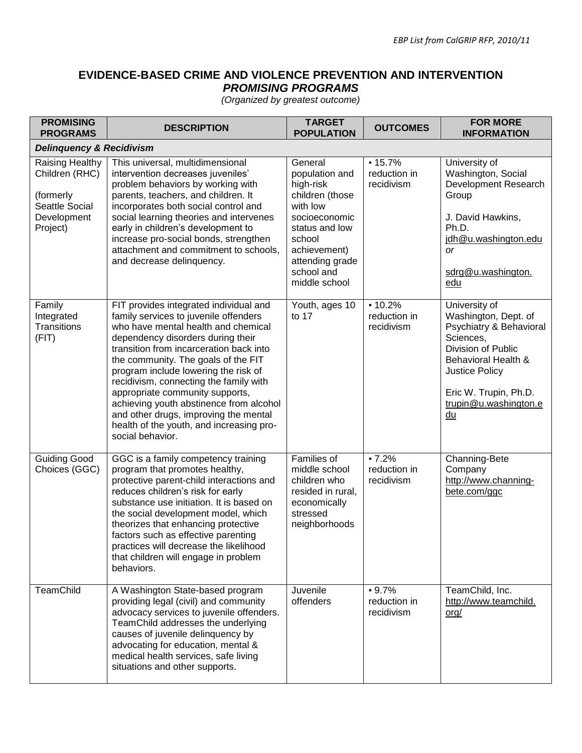## **EVIDENCE-BASED CRIME AND VIOLENCE PREVENTION AND INTERVENTION**  *PROMISING PROGRAMS*

| <b>PROMISING</b><br><b>PROGRAMS</b>                                                         | <b>DESCRIPTION</b>                                                                                                                                                                                                                                                                                                                                                                                                                                                                                                     | <b>TARGET</b><br><b>POPULATION</b>                                                                                                                                                   | <b>OUTCOMES</b>                        | <b>FOR MORE</b><br><b>INFORMATION</b>                                                                                                                                                                              |
|---------------------------------------------------------------------------------------------|------------------------------------------------------------------------------------------------------------------------------------------------------------------------------------------------------------------------------------------------------------------------------------------------------------------------------------------------------------------------------------------------------------------------------------------------------------------------------------------------------------------------|--------------------------------------------------------------------------------------------------------------------------------------------------------------------------------------|----------------------------------------|--------------------------------------------------------------------------------------------------------------------------------------------------------------------------------------------------------------------|
| <b>Delinquency &amp; Recidivism</b>                                                         |                                                                                                                                                                                                                                                                                                                                                                                                                                                                                                                        |                                                                                                                                                                                      |                                        |                                                                                                                                                                                                                    |
| Raising Healthy<br>Children (RHC)<br>(formerly<br>Seattle Social<br>Development<br>Project) | This universal, multidimensional<br>intervention decreases juveniles'<br>problem behaviors by working with<br>parents, teachers, and children. It<br>incorporates both social control and<br>social learning theories and intervenes<br>early in children's development to<br>increase pro-social bonds, strengthen<br>attachment and commitment to schools,<br>and decrease delinquency.                                                                                                                              | General<br>population and<br>high-risk<br>children (those<br>with low<br>socioeconomic<br>status and low<br>school<br>achievement)<br>attending grade<br>school and<br>middle school | $-15.7%$<br>reduction in<br>recidivism | University of<br>Washington, Social<br>Development Research<br>Group<br>J. David Hawkins,<br>Ph.D.<br>jdh@u.washington.edu<br><b>or</b><br>sdrg@u.washington.<br>edu                                               |
| Family<br>Integrated<br><b>Transitions</b><br>(FIT)                                         | FIT provides integrated individual and<br>family services to juvenile offenders<br>who have mental health and chemical<br>dependency disorders during their<br>transition from incarceration back into<br>the community. The goals of the FIT<br>program include lowering the risk of<br>recidivism, connecting the family with<br>appropriate community supports,<br>achieving youth abstinence from alcohol<br>and other drugs, improving the mental<br>health of the youth, and increasing pro-<br>social behavior. | Youth, ages 10<br>to 17                                                                                                                                                              | $-10.2%$<br>reduction in<br>recidivism | University of<br>Washington, Dept. of<br>Psychiatry & Behavioral<br>Sciences,<br>Division of Public<br>Behavioral Health &<br><b>Justice Policy</b><br>Eric W. Trupin, Ph.D.<br>trupin@u.washington.e<br><u>du</u> |
| <b>Guiding Good</b><br>Choices (GGC)                                                        | GGC is a family competency training<br>program that promotes healthy,<br>protective parent-child interactions and<br>reduces children's risk for early<br>substance use initiation. It is based on<br>the social development model, which<br>theorizes that enhancing protective<br>factors such as effective parenting<br>practices will decrease the likelihood<br>that children will engage in problem<br>behaviors.                                                                                                | Families of<br>middle school<br>children who<br>resided in rural,<br>economically<br>stressed<br>neighborhoods                                                                       | $-7.2%$<br>reduction in<br>recidivism  | Channing-Bete<br>Company<br>http://www.channing-<br>bete.com/ggc                                                                                                                                                   |
| TeamChild                                                                                   | A Washington State-based program<br>providing legal (civil) and community<br>advocacy services to juvenile offenders.<br>TeamChild addresses the underlying<br>causes of juvenile delinquency by<br>advocating for education, mental &<br>medical health services, safe living<br>situations and other supports.                                                                                                                                                                                                       | Juvenile<br>offenders                                                                                                                                                                | $-9.7%$<br>reduction in<br>recidivism  | TeamChild, Inc.<br>http://www.teamchild.<br>org/                                                                                                                                                                   |

*(Organized by greatest outcome)*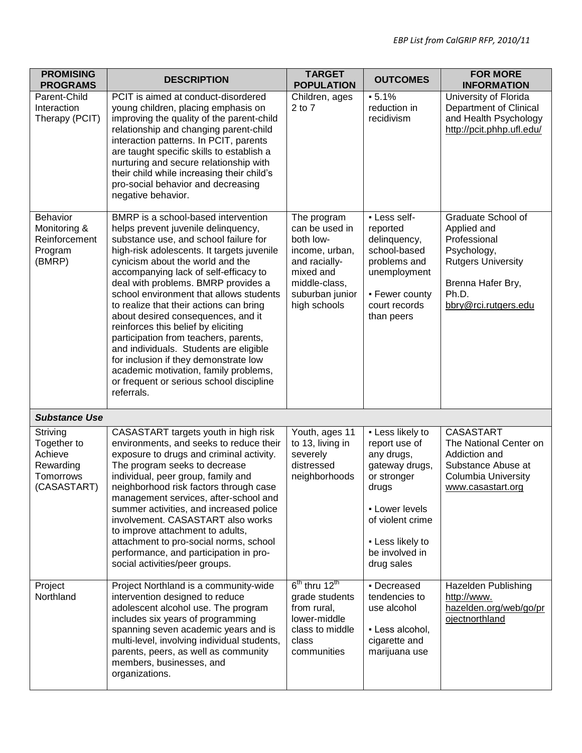| <b>PROMISING</b><br><b>PROGRAMS</b>                                         | <b>DESCRIPTION</b>                                                                                                                                                                                                                                                                                                                                                                                                                                                                                                                                                                                                                                                                      | <b>TARGET</b><br><b>POPULATION</b>                                                                                                             | <b>OUTCOMES</b>                                                                                                                                                                     | <b>FOR MORE</b><br><b>INFORMATION</b>                                                                                                               |
|-----------------------------------------------------------------------------|-----------------------------------------------------------------------------------------------------------------------------------------------------------------------------------------------------------------------------------------------------------------------------------------------------------------------------------------------------------------------------------------------------------------------------------------------------------------------------------------------------------------------------------------------------------------------------------------------------------------------------------------------------------------------------------------|------------------------------------------------------------------------------------------------------------------------------------------------|-------------------------------------------------------------------------------------------------------------------------------------------------------------------------------------|-----------------------------------------------------------------------------------------------------------------------------------------------------|
| Parent-Child<br>Interaction<br>Therapy (PCIT)                               | PCIT is aimed at conduct-disordered<br>young children, placing emphasis on<br>improving the quality of the parent-child<br>relationship and changing parent-child<br>interaction patterns. In PCIT, parents<br>are taught specific skills to establish a<br>nurturing and secure relationship with<br>their child while increasing their child's<br>pro-social behavior and decreasing<br>negative behavior.                                                                                                                                                                                                                                                                            | Children, ages<br>$2$ to $7$                                                                                                                   | $-5.1%$<br>reduction in<br>recidivism                                                                                                                                               | University of Florida<br>Department of Clinical<br>and Health Psychology<br>http://pcit.phhp.ufl.edu/                                               |
| Behavior<br>Monitoring &<br>Reinforcement<br>Program<br>(BMRP)              | BMRP is a school-based intervention<br>helps prevent juvenile delinquency,<br>substance use, and school failure for<br>high-risk adolescents. It targets juvenile<br>cynicism about the world and the<br>accompanying lack of self-efficacy to<br>deal with problems. BMRP provides a<br>school environment that allows students<br>to realize that their actions can bring<br>about desired consequences, and it<br>reinforces this belief by eliciting<br>participation from teachers, parents,<br>and individuals. Students are eligible<br>for inclusion if they demonstrate low<br>academic motivation, family problems,<br>or frequent or serious school discipline<br>referrals. | The program<br>can be used in<br>both low-<br>income, urban,<br>and racially-<br>mixed and<br>middle-class,<br>suburban junior<br>high schools | - Less self-<br>reported<br>delinquency,<br>school-based<br>problems and<br>unemployment<br>- Fewer county<br>court records<br>than peers                                           | Graduate School of<br>Applied and<br>Professional<br>Psychology,<br><b>Rutgers University</b><br>Brenna Hafer Bry,<br>Ph.D.<br>bbry@rci.rutgers.edu |
| <b>Substance Use</b>                                                        |                                                                                                                                                                                                                                                                                                                                                                                                                                                                                                                                                                                                                                                                                         |                                                                                                                                                |                                                                                                                                                                                     |                                                                                                                                                     |
| Striving<br>Together to<br>Achieve<br>Rewarding<br>Tomorrows<br>(CASASTART) | CASASTART targets youth in high risk<br>environments, and seeks to reduce their<br>exposure to drugs and criminal activity.<br>The program seeks to decrease<br>individual, peer group, family and<br>neighborhood risk factors through case<br>management services, after-school and<br>summer activities, and increased police<br>involvement. CASASTART also works<br>to improve attachment to adults,<br>attachment to pro-social norms, school<br>performance, and participation in pro-<br>social activities/peer groups.                                                                                                                                                         | Youth, ages 11<br>to 13, living in<br>severely<br>distressed<br>neighborhoods                                                                  | - Less likely to<br>report use of<br>any drugs,<br>gateway drugs,<br>or stronger<br>drugs<br>- Lower levels<br>of violent crime<br>- Less likely to<br>be involved in<br>drug sales | <b>CASASTART</b><br>The National Center on<br>Addiction and<br>Substance Abuse at<br><b>Columbia University</b><br>www.casastart.org                |
| Project<br>Northland                                                        | Project Northland is a community-wide<br>intervention designed to reduce<br>adolescent alcohol use. The program<br>includes six years of programming<br>spanning seven academic years and is<br>multi-level, involving individual students,<br>parents, peers, as well as community<br>members, businesses, and<br>organizations.                                                                                                                                                                                                                                                                                                                                                       | $6th$ thru $12th$<br>grade students<br>from rural,<br>lower-middle<br>class to middle<br>class<br>communities                                  | • Decreased<br>tendencies to<br>use alcohol<br>- Less alcohol,<br>cigarette and<br>marijuana use                                                                                    | Hazelden Publishing<br>http://www.<br>hazelden.org/web/go/pr<br>ojectnorthland                                                                      |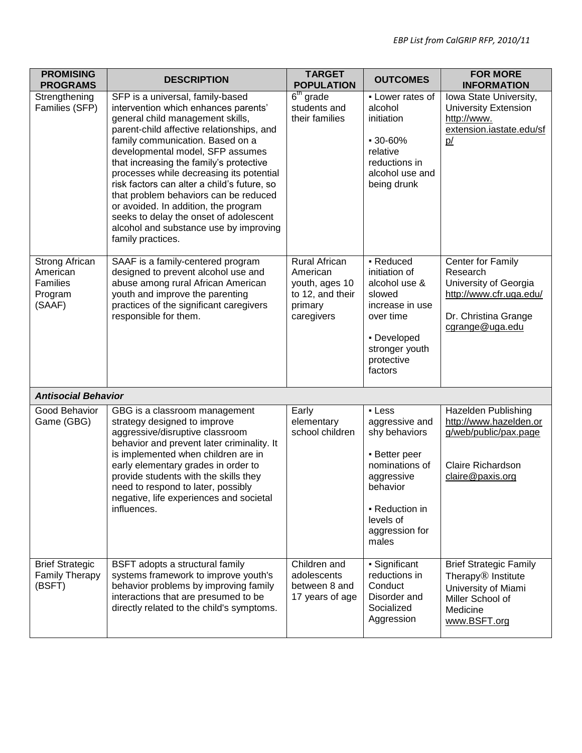| <b>PROMISING</b><br><b>PROGRAMS</b>                                       | <b>DESCRIPTION</b>                                                                                                                                                                                                                                                                                                                                                                                                                                                                                                                                                | <b>TARGET</b><br><b>POPULATION</b>                                                              | <b>OUTCOMES</b>                                                                                                                                                  | <b>FOR MORE</b><br><b>INFORMATION</b>                                                                                                  |
|---------------------------------------------------------------------------|-------------------------------------------------------------------------------------------------------------------------------------------------------------------------------------------------------------------------------------------------------------------------------------------------------------------------------------------------------------------------------------------------------------------------------------------------------------------------------------------------------------------------------------------------------------------|-------------------------------------------------------------------------------------------------|------------------------------------------------------------------------------------------------------------------------------------------------------------------|----------------------------------------------------------------------------------------------------------------------------------------|
| Strengthening<br>Families (SFP)                                           | SFP is a universal, family-based<br>intervention which enhances parents'<br>general child management skills,<br>parent-child affective relationships, and<br>family communication. Based on a<br>developmental model, SFP assumes<br>that increasing the family's protective<br>processes while decreasing its potential<br>risk factors can alter a child's future, so<br>that problem behaviors can be reduced<br>or avoided. In addition, the program<br>seeks to delay the onset of adolescent<br>alcohol and substance use by improving<br>family practices. | $6th$ grade<br>students and<br>their families                                                   | - Lower rates of<br>alcohol<br>initiation<br>$-30 - 60%$<br>relative<br>reductions in<br>alcohol use and<br>being drunk                                          | Iowa State University,<br><b>University Extension</b><br>http://www.<br>extension.iastate.edu/sf<br>p/                                 |
| <b>Strong African</b><br>American<br><b>Families</b><br>Program<br>(SAAF) | SAAF is a family-centered program<br>designed to prevent alcohol use and<br>abuse among rural African American<br>youth and improve the parenting<br>practices of the significant caregivers<br>responsible for them.                                                                                                                                                                                                                                                                                                                                             | <b>Rural African</b><br>American<br>youth, ages 10<br>to 12, and their<br>primary<br>caregivers | - Reduced<br>initiation of<br>alcohol use &<br>slowed<br>increase in use<br>over time<br>• Developed<br>stronger youth<br>protective<br>factors                  | Center for Family<br>Research<br>University of Georgia<br>http://www.cfr.uga.edu/<br>Dr. Christina Grange<br>cgrange@uga.edu           |
| <b>Antisocial Behavior</b>                                                |                                                                                                                                                                                                                                                                                                                                                                                                                                                                                                                                                                   |                                                                                                 |                                                                                                                                                                  |                                                                                                                                        |
| Good Behavior<br>Game (GBG)                                               | GBG is a classroom management<br>strategy designed to improve<br>aggressive/disruptive classroom<br>behavior and prevent later criminality. It<br>is implemented when children are in<br>early elementary grades in order to<br>provide students with the skills they<br>need to respond to later, possibly<br>negative, life experiences and societal<br>influences.                                                                                                                                                                                             | Early<br>elementary<br>school children                                                          | - Less<br>aggressive and<br>shy behaviors<br>- Better peer<br>nominations of<br>aggressive<br>behavior<br>• Reduction in<br>levels of<br>aggression for<br>males | Hazelden Publishing<br>http://www.hazelden.or<br>g/web/public/pax.page<br>Claire Richardson<br>claire@paxis.org                        |
| <b>Brief Strategic</b><br>Family Therapy<br>(BSFT)                        | BSFT adopts a structural family<br>systems framework to improve youth's<br>behavior problems by improving family<br>interactions that are presumed to be<br>directly related to the child's symptoms.                                                                                                                                                                                                                                                                                                                                                             | Children and<br>adolescents<br>between 8 and<br>17 years of age                                 | · Significant<br>reductions in<br>Conduct<br>Disorder and<br>Socialized<br>Aggression                                                                            | <b>Brief Strategic Family</b><br>Therapy <sup>®</sup> Institute<br>University of Miami<br>Miller School of<br>Medicine<br>www.BSFT.org |